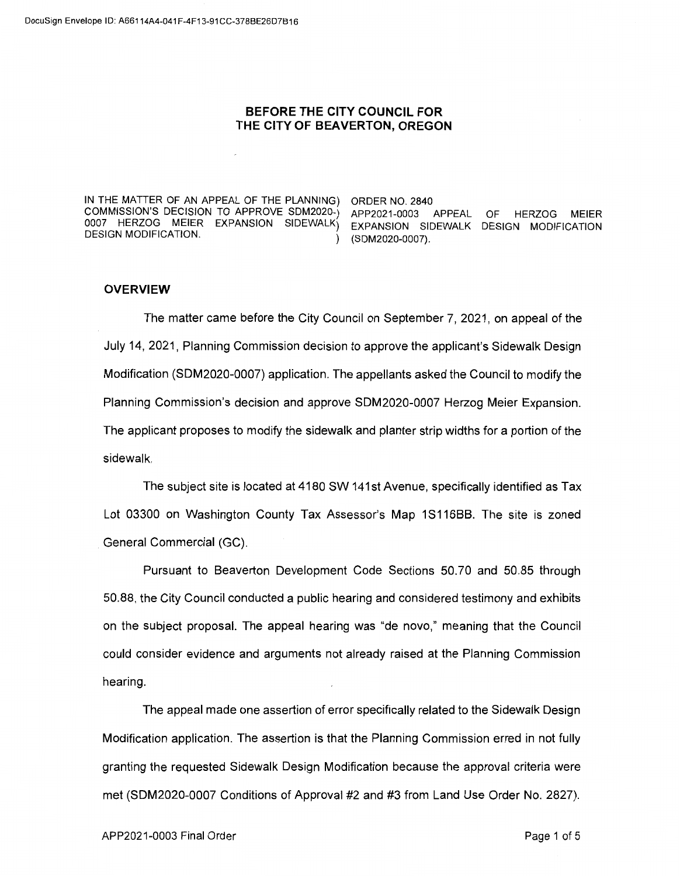## **BEFORE THE CITY COUNCIL FOR THE CITY OF BEAVERTON, OREGON**

IN THE MATTER OF AN APPEAL OF THE PLANNING) ORDER NO. 2840 COMMISSION'S DECISION TO APPROVE SDM2020-) APP2021-0003 APPEAL OF HERZOG MEIER 0007 HERZOG MEIER EXPANSION SIDEWALK) EXPANSION SIDEWALK DESIGN MODIFICATION<br>DESIGN\_MODIFICATION

) (SDM2020-0007).

## **OVERVIEW**

The matter came before the City Council on September 7, 2021, on appeal of the July 14, 2021, Planning Commission decision to approve the applicant's Sidewalk Design Modification (SDM2020-0007) application. The appellants asked the Council to modify the Planning Commission's decision and approve SDM2020-0007 Herzog Meier Expansion. The applicant proposes to modify the sidewalk and planter strip widths for a portion of the sidewalk.

The subject site is located at 4180 SW 141st Avenue, specifically identified as Tax Lot 03300 on Washington County Tax Assessor's Map 1S116BB. The site is zoned General Commercial (GC).

Pursuant to Beaverton Development Code Sections 50.70 and 50.85 through 50.88, the City Council conducted a public hearing and considered testimony and exhibits on the subject proposal. The appeal hearing was "de nova," meaning that the Council could consider evidence and arguments not already raised at the Planning Commission hearing.

The appeal made one assertion of error specifically related to the Sidewalk Design Modification application. The assertion is that the Planning Commission erred in not fully granting the requested Sidewalk Design Modification because the approval criteria were met (SDM2020-0007 Conditions of Approval #2 and #3 from Land Use Order No. 2827).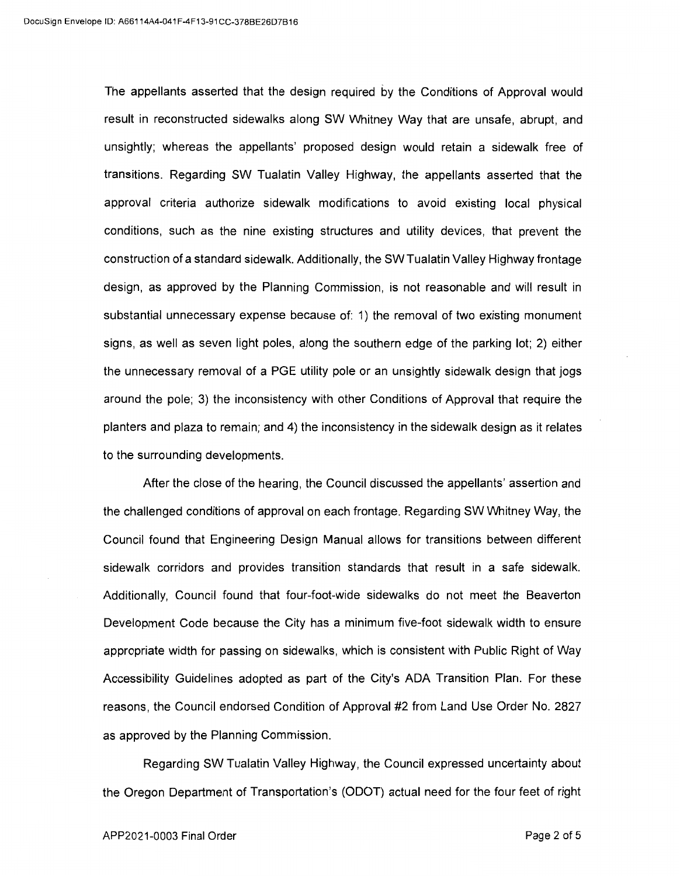The appellants asserted that the design required by the Conditions of Approval would result in reconstructed sidewalks along SW Whitney Way that are unsafe, abrupt, and unsightly; whereas the appellants' proposed design would retain a sidewalk free of transitions. Regarding SW Tualatin Valley Highway, the appellants asserted that the approval criteria authorize sidewalk modifications to avoid existing local physical conditions, such as the nine existing structures and utility devices, that prevent the construction of a standard sidewalk. Additionally, the SW Tualatin Valley Highway frontage design, as approved by the Planning Commission, is not reasonable and will result in substantial unnecessary expense because of: 1) the removal of two existing monument signs, as well as seven light poles, along the southern edge of the parking lot; 2) either the unnecessary removal of a PGE utility pole or an unsightly sidewalk design that jogs around the pole; 3) the inconsistency with other Conditions of Approval that require the planters and plaza to remain; and 4) the inconsistency in the sidewalk design as it relates to the surrounding developments.

After the close of the hearing, the Council discussed the appellants' assertion and the challenged conditions of approval on each frontage. Regarding SW Whitney Way, the Council found that Engineering Design Manual allows for transitions between different sidewalk corridors and provides transition standards that result in a safe sidewalk. Additionally, Council found that four-foot-wide sidewalks do not meet the Beaverton Development Code because the City has a minimum five-foot sidewalk width to ensure appropriate width for passing on sidewalks, which is consistent with Public Right of Way Accessibility Guidelines adopted as part of the City's ADA Transition Plan. For these reasons, the Council endorsed Condition of Approval #2 from Land Use Order No. 2827 as approved by the Planning Commission.

Regarding SW Tualatin Valley Highway, the Council expressed uncertainty about the Oregon Department of Transportation's (ODOT) actual need for the four feet of right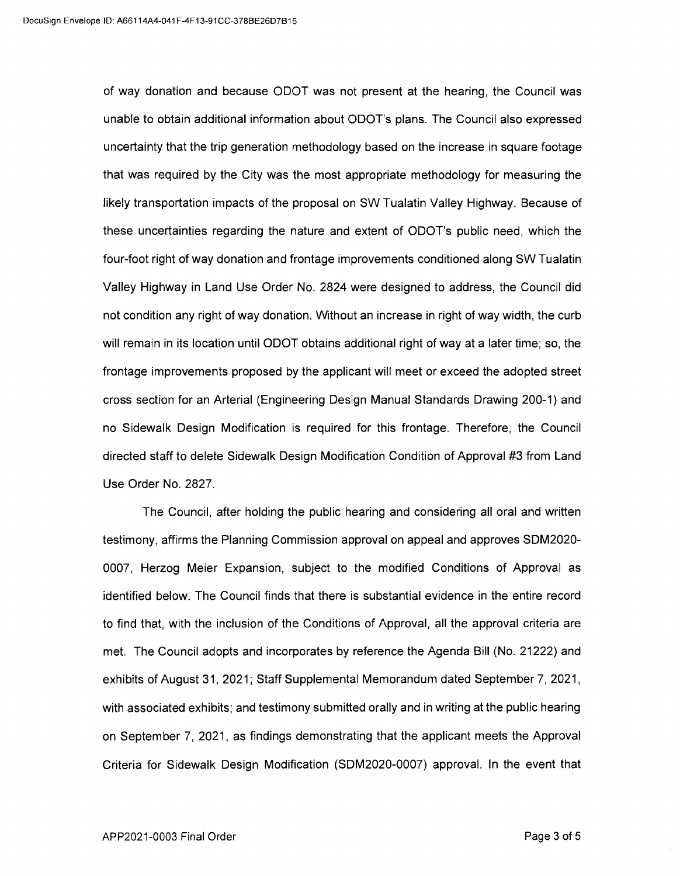of way donation and because ODOT was not present at the hearing, the Council was unable to obtain additional information about ODOT's plans. The Council also expressed uncertainty that the trip generation methodology based on the increase in square footage that was required by the City was the most appropriate methodology for measuring the likely transportation impacts of the proposal on SW Tualatin Valley Highway. Because of these uncertainties regarding the nature and extent of ODOT's public need, which the four-foot right of way donation and frontage improvements conditioned along SW Tualatin Valley Highway in Land Use Order No. 2824 were designed to address, the Council did not condition any right of way donation. Without an increase in right of way width, the curb will remain in its location until ODOT obtains additional right of way at a later time; so, the frontage improvements proposed by the applicant will meet or exceed the adopted street cross section for an Arterial (Engineering Design Manual Standards Drawing 200-1) and no Sidewalk Design Modification is required for this frontage. Therefore, the Council directed staff to delete Sidewalk Design Modification Condition of Approval #3 from Land Use Order No. 2827.

The Council, after holding the public hearing and considering all oral and written testimony, affirms the Planning Commission approval on appeal and approves SDM2020- 0007, Herzog Meier Expansion, subject to the modified Conditions of Approval as identified below. The Council finds that there is substantial evidence in the entire record to find that, with the inclusion of the Conditions of Approval, all the approval criteria are met. The Council adopts and incorporates by reference the Agenda Bill (No. 21222) and exhibits of August 31, 2021; Staff Supplemental Memorandum dated September 7, 2021, with associated exhibits; and testimony submitted orally and in writing at the public hearing on September 7, 2021, as findings demonstrating that the applicant meets the Approval Criteria for Sidewalk Design Modification (SDM2020-0007) approval. In the event that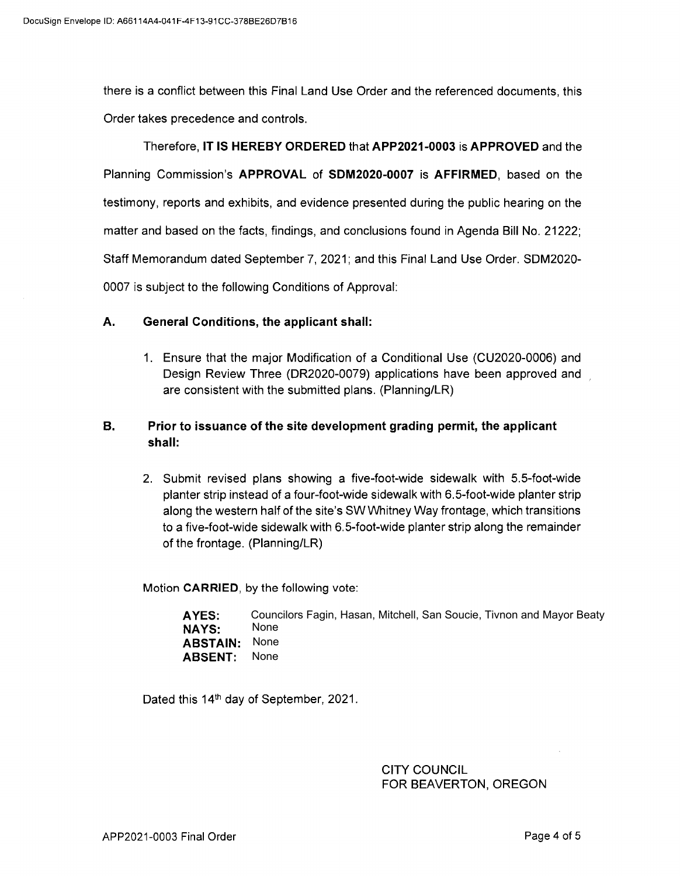there is a conflict between this Final Land Use Order and the referenced documents, this Order takes precedence and controls.

Therefore, **IT IS HEREBY ORDERED** that **APP2021-0003 is APPROVED** and the Planning Commission's **APPROVAL of SDM2020-0007 is AFFIRMED,** based on the testimony, reports and exhibits, and evidence presented during the public hearing on the matter and based on the facts, findings, and conclusions found in Agenda Bill No. 21222; Staff Memorandum dated September 7, 2021; and this Final Land Use Order. SDM2020- 0007 is subject to the following Conditions of Approval:

## **A. General Conditions, the applicant shall:**

1. Ensure that the major Modification of a Conditional Use (CU2020-0006) and Design Review Three (DR2020-0079) applications have been approved and are consistent with the submitted plans. (Planning/LR)

## **B. Prior to issuance of the site development grading permit, the applicant shall:**

2. Submit revised plans showing a five-foot-wide sidewalk with 5.5-foot-wide planter strip instead of a four-foot-wide sidewalk with 6.5-foot-wide planter strip along the western half of the site's SW Whitney Way frontage, which transitions to a five-foot-wide sidewalk with 6.5-foot-wide planter strip along the remainder of the frontage. (Planning/LR)

Motion **CARRIED,** by the following vote:

| AYES:                | Councilors Fagin, Hasan, Mitchell, San Soucie, Tivnon and Mayor Beaty |
|----------------------|-----------------------------------------------------------------------|
| NAYS:                | None                                                                  |
| <b>ABSTAIN: None</b> |                                                                       |
| <b>ABSENT:</b> None  |                                                                       |

Dated this 14<sup>th</sup> day of September, 2021.

CITY COUNCIL FOR BEAVERTON, OREGON